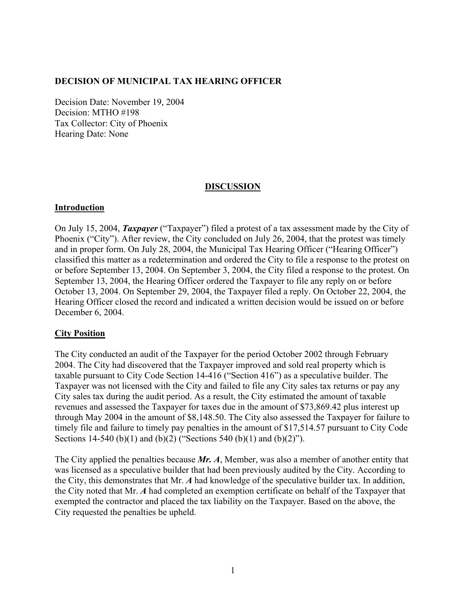## **DECISION OF MUNICIPAL TAX HEARING OFFICER**

Decision Date: November 19, 2004 Decision: MTHO #198 Tax Collector: City of Phoenix Hearing Date: None

## **DISCUSSION**

#### **Introduction**

On July 15, 2004, *Taxpayer* ("Taxpayer") filed a protest of a tax assessment made by the City of Phoenix ("City"). After review, the City concluded on July 26, 2004, that the protest was timely and in proper form. On July 28, 2004, the Municipal Tax Hearing Officer ("Hearing Officer") classified this matter as a redetermination and ordered the City to file a response to the protest on or before September 13, 2004. On September 3, 2004, the City filed a response to the protest. On September 13, 2004, the Hearing Officer ordered the Taxpayer to file any reply on or before October 13, 2004. On September 29, 2004, the Taxpayer filed a reply. On October 22, 2004, the Hearing Officer closed the record and indicated a written decision would be issued on or before December 6, 2004.

## **City Position**

The City conducted an audit of the Taxpayer for the period October 2002 through February 2004. The City had discovered that the Taxpayer improved and sold real property which is taxable pursuant to City Code Section 14-416 ("Section 416") as a speculative builder. The Taxpayer was not licensed with the City and failed to file any City sales tax returns or pay any City sales tax during the audit period. As a result, the City estimated the amount of taxable revenues and assessed the Taxpayer for taxes due in the amount of \$73,869.42 plus interest up through May 2004 in the amount of \$8,148.50. The City also assessed the Taxpayer for failure to timely file and failure to timely pay penalties in the amount of \$17,514.57 pursuant to City Code Sections 14-540 (b)(1) and (b)(2) ("Sections 540 (b)(1) and (b)(2)").

The City applied the penalties because *Mr. A*, Member, was also a member of another entity that was licensed as a speculative builder that had been previously audited by the City. According to the City, this demonstrates that Mr. *A* had knowledge of the speculative builder tax. In addition, the City noted that Mr. *A* had completed an exemption certificate on behalf of the Taxpayer that exempted the contractor and placed the tax liability on the Taxpayer. Based on the above, the City requested the penalties be upheld.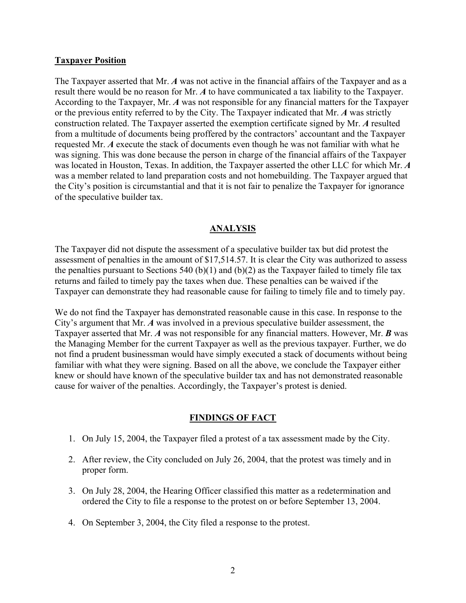#### **Taxpayer Position**

The Taxpayer asserted that Mr. *A* was not active in the financial affairs of the Taxpayer and as a result there would be no reason for Mr. *A* to have communicated a tax liability to the Taxpayer. According to the Taxpayer, Mr. *A* was not responsible for any financial matters for the Taxpayer or the previous entity referred to by the City. The Taxpayer indicated that Mr. *A* was strictly construction related. The Taxpayer asserted the exemption certificate signed by Mr. *A* resulted from a multitude of documents being proffered by the contractors' accountant and the Taxpayer requested Mr. *A* execute the stack of documents even though he was not familiar with what he was signing. This was done because the person in charge of the financial affairs of the Taxpayer was located in Houston, Texas. In addition, the Taxpayer asserted the other LLC for which Mr. *A* was a member related to land preparation costs and not homebuilding. The Taxpayer argued that the City's position is circumstantial and that it is not fair to penalize the Taxpayer for ignorance of the speculative builder tax.

## **ANALYSIS**

The Taxpayer did not dispute the assessment of a speculative builder tax but did protest the assessment of penalties in the amount of \$17,514.57. It is clear the City was authorized to assess the penalties pursuant to Sections 540 (b)(1) and (b)(2) as the Taxpayer failed to timely file tax returns and failed to timely pay the taxes when due. These penalties can be waived if the Taxpayer can demonstrate they had reasonable cause for failing to timely file and to timely pay.

We do not find the Taxpayer has demonstrated reasonable cause in this case. In response to the City's argument that Mr. *A* was involved in a previous speculative builder assessment, the Taxpayer asserted that Mr. *A* was not responsible for any financial matters. However, Mr. *B* was the Managing Member for the current Taxpayer as well as the previous taxpayer. Further, we do not find a prudent businessman would have simply executed a stack of documents without being familiar with what they were signing. Based on all the above, we conclude the Taxpayer either knew or should have known of the speculative builder tax and has not demonstrated reasonable cause for waiver of the penalties. Accordingly, the Taxpayer's protest is denied.

#### **FINDINGS OF FACT**

- 1. On July 15, 2004, the Taxpayer filed a protest of a tax assessment made by the City.
- 2. After review, the City concluded on July 26, 2004, that the protest was timely and in proper form.
- 3. On July 28, 2004, the Hearing Officer classified this matter as a redetermination and ordered the City to file a response to the protest on or before September 13, 2004.
- 4. On September 3, 2004, the City filed a response to the protest.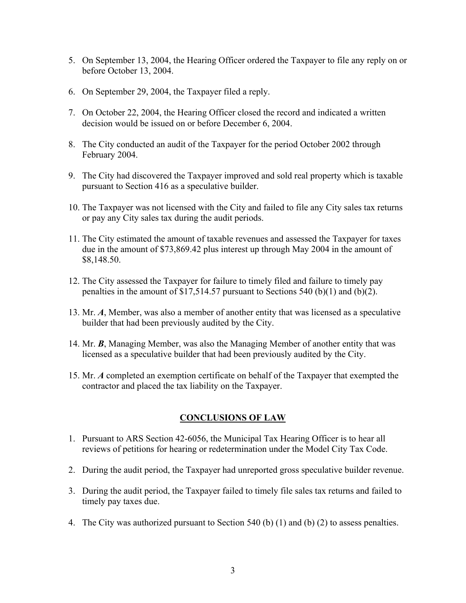- 5. On September 13, 2004, the Hearing Officer ordered the Taxpayer to file any reply on or before October 13, 2004.
- 6. On September 29, 2004, the Taxpayer filed a reply.
- 7. On October 22, 2004, the Hearing Officer closed the record and indicated a written decision would be issued on or before December 6, 2004.
- 8. The City conducted an audit of the Taxpayer for the period October 2002 through February 2004.
- 9. The City had discovered the Taxpayer improved and sold real property which is taxable pursuant to Section 416 as a speculative builder.
- 10. The Taxpayer was not licensed with the City and failed to file any City sales tax returns or pay any City sales tax during the audit periods.
- 11. The City estimated the amount of taxable revenues and assessed the Taxpayer for taxes due in the amount of \$73,869.42 plus interest up through May 2004 in the amount of \$8,148.50.
- 12. The City assessed the Taxpayer for failure to timely filed and failure to timely pay penalties in the amount of \$17,514.57 pursuant to Sections 540 (b)(1) and (b)(2).
- 13. Mr. *A*, Member, was also a member of another entity that was licensed as a speculative builder that had been previously audited by the City.
- 14. Mr. *B*, Managing Member, was also the Managing Member of another entity that was licensed as a speculative builder that had been previously audited by the City.
- 15. Mr. *A* completed an exemption certificate on behalf of the Taxpayer that exempted the contractor and placed the tax liability on the Taxpayer.

## **CONCLUSIONS OF LAW**

- 1. Pursuant to ARS Section 42-6056, the Municipal Tax Hearing Officer is to hear all reviews of petitions for hearing or redetermination under the Model City Tax Code.
- 2. During the audit period, the Taxpayer had unreported gross speculative builder revenue.
- 3. During the audit period, the Taxpayer failed to timely file sales tax returns and failed to timely pay taxes due.
- 4. The City was authorized pursuant to Section 540 (b) (1) and (b) (2) to assess penalties.